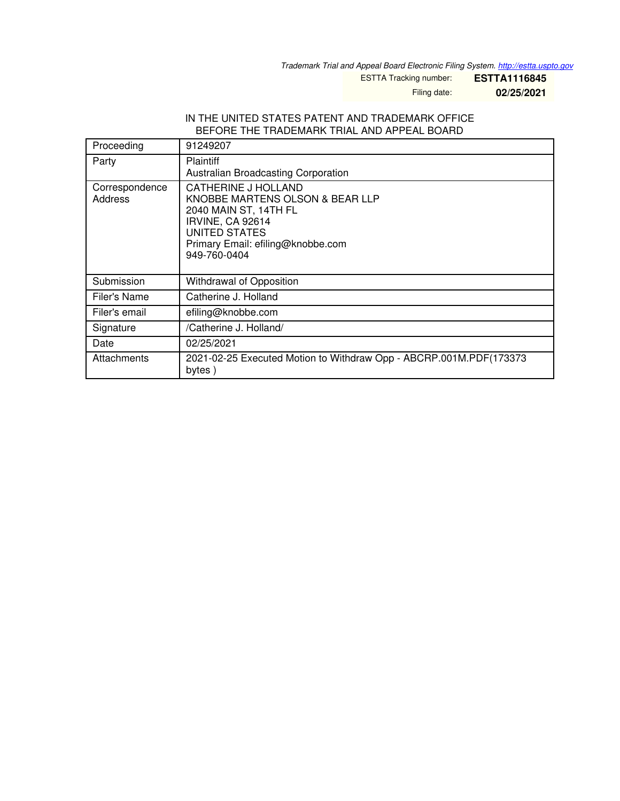*Trademark Trial and Appeal Board Electronic Filing System. <http://estta.uspto.gov>*

ESTTA Tracking number: **ESTTA1116845**

Filing date: **02/25/2021**

## IN THE UNITED STATES PATENT AND TRADEMARK OFFICE BEFORE THE TRADEMARK TRIAL AND APPEAL BOARD

| Proceeding                | 91249207                                                                                                                                                                  |
|---------------------------|---------------------------------------------------------------------------------------------------------------------------------------------------------------------------|
| Party                     | <b>Plaintiff</b><br>Australian Broadcasting Corporation                                                                                                                   |
| Correspondence<br>Address | CATHERINE J HOLLAND<br>KNOBBE MARTENS OLSON & BEAR LLP<br>2040 MAIN ST, 14TH FL<br>IRVINE, CA 92614<br>UNITED STATES<br>Primary Email: efiling@knobbe.com<br>949-760-0404 |
| Submission                | Withdrawal of Opposition                                                                                                                                                  |
| Filer's Name              | Catherine J. Holland                                                                                                                                                      |
| Filer's email             | efiling@knobbe.com                                                                                                                                                        |
| Signature                 | /Catherine J. Holland/                                                                                                                                                    |
| Date                      | 02/25/2021                                                                                                                                                                |
| Attachments               | 2021-02-25 Executed Motion to Withdraw Opp - ABCRP.001M.PDF(173373<br>bytes)                                                                                              |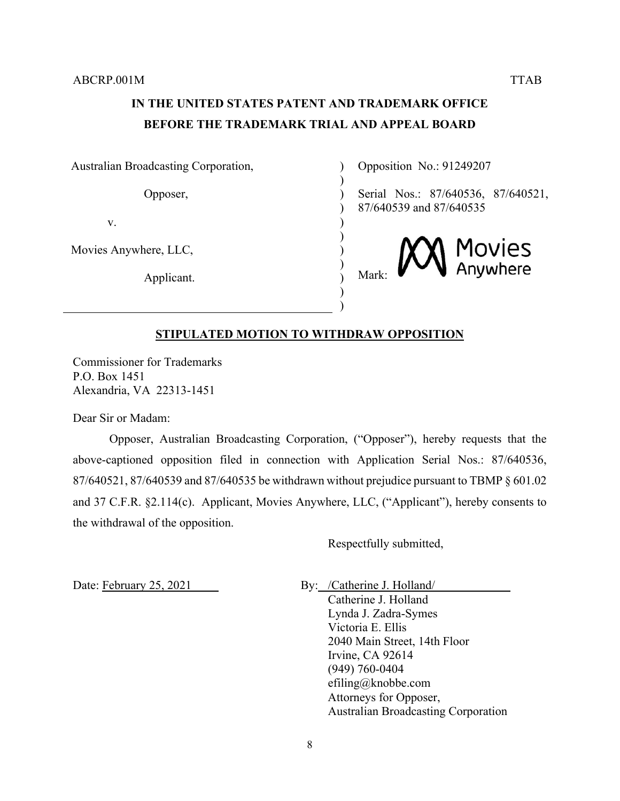## **IN THE UNITED STATES PATENT AND TRADEMARK OFFICE BEFORE THE TRADEMARK TRIAL AND APPEAL BOARD**

 $\lambda$  $\lambda$ )  $\lambda$ ) ) ) ) ) ) )

Australian Broadcasting Corporation,

Opposer,

v.

Movies Anywhere, LLC,

Applicant.

Opposition No.: 91249207

Serial Nos.: 87/640536, 87/640521, 87/640539 and 87/640535



## **STIPULATED MOTION TO WITHDRAW OPPOSITION**

Commissioner for Trademarks P.O. Box 1451 Alexandria, VA 22313-1451

Dear Sir or Madam:

Opposer, Australian Broadcasting Corporation, ("Opposer"), hereby requests that the above-captioned opposition filed in connection with Application Serial Nos.: 87/640536, 87/640521, 87/640539 and 87/640535 be withdrawn without prejudice pursuant to TBMP § 601.02 and 37 C.F.R. §2.114(c). Applicant, Movies Anywhere, LLC, ("Applicant"), hereby consents to the withdrawal of the opposition.

Respectfully submitted,

Date: February 25, 2021 By: /Catherine J. Holland/

Catherine J. Holland Lynda J. Zadra-Symes Victoria E. Ellis 2040 Main Street, 14th Floor Irvine, CA 92614 (949) 760-0404 efiling@knobbe.com Attorneys for Opposer, Australian Broadcasting Corporation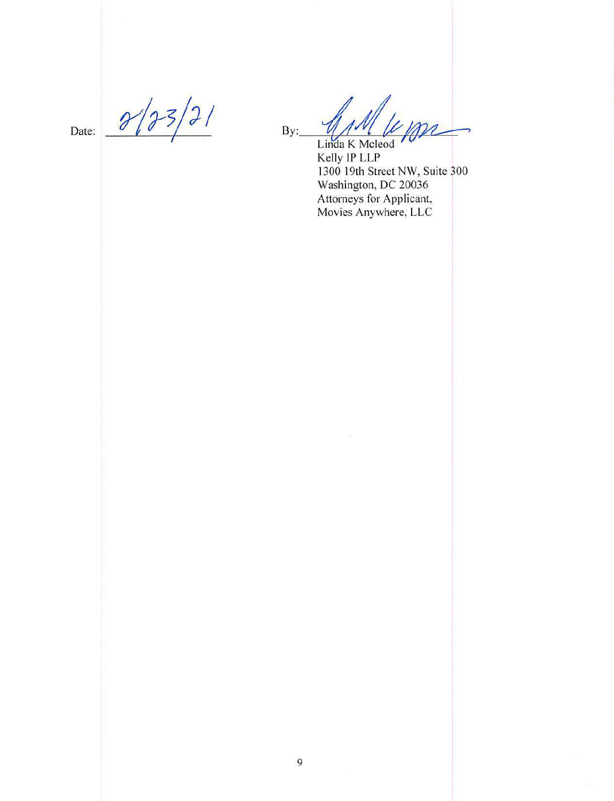Date:

 $\frac{1}{2}$ 6

 $\overline{\mathcal{U}}$  $By:$ 

Linda K Mcleod<br>Kelly IP LLP<br>1300 19th Street NW, Suite 300<br>Washington, DC 20036 Attorneys for Applicant,<br>Movies Anywhere, LLC